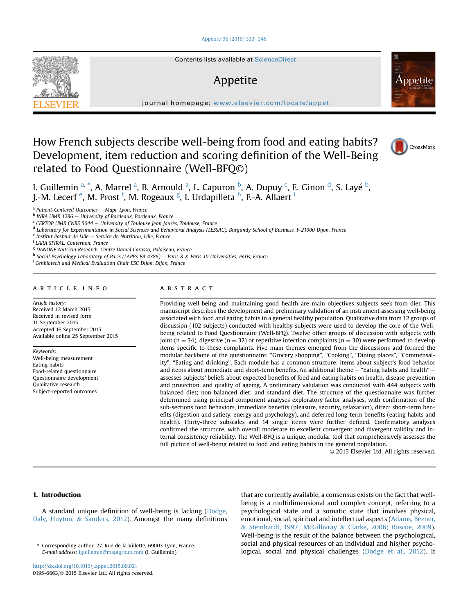#### [Appetite 96 \(2016\) 333](http://dx.doi.org/10.1016/j.appet.2015.09.021)-[346](http://dx.doi.org/10.1016/j.appet.2015.09.021)



# Appetite



journal homepage: <www.elsevier.com/locate/appet>

# How French subjects describe well-being from food and eating habits? Development, item reduction and scoring definition of the Well-Being related to Food Questionnaire (Well-BFQ©)



I. Guillemin <sup>a, \*</sup>, A. Marrel <sup>a</sup>, B. Arnould <sup>a</sup>, L. Capuron <sup>b</sup>, A. Dupuy <sup>c</sup>, E. Ginon <sup>d</sup>, S. Layé <sup>b</sup>, J.-M. Lecerf <sup>e</sup>, M. Prost <sup>f</sup>, M. Rogeaux <sup>g</sup>, I. Urdapilleta <sup>h</sup>, F.-A. Allaert <sup>i</sup>

 $a$  Patient-Centered Outcomes - Mapi, Lyon, France

 $<sup>b</sup>$  INRA UMR 1286 - University of Bordeaux, Bordeaux, France</sup>

 $c$  CERTOP UMR CNRS 5044 - University of Toulouse Jean Jaurès, Toulouse, France

<sup>d</sup> Laboratory for Experimentation in Social Sciences and Behavioral Analysis (LESSAC), Burgundy School of Business, F-21000 Dijon, France

<sup>e</sup> Institut Pasteur de Lille – Service de Nutrition, Lille, France

<sup>f</sup> LARA SPIRAL, Couternon, France

<sup>g</sup> DANONE Nutricia Research, Centre Daniel Carasso, Palaiseau, France

h Social Psychology Laboratory of Paris (LAPPS EA 4386) - Paris 8 & Paris 10 Universities, Paris, France

<sup>i</sup> Cenbiotech and Medical Evaluation Chair ESC Dijon, Dijon, France

#### article info

Article history: Received 12 March 2015 Received in revised form 11 September 2015 Accepted 16 September 2015 Available online 25 September 2015

Keywords: Well-being measurement Eating habits Food-related questionnaire Questionnaire development Qualitative research Subject-reported outcomes

## **ABSTRACT**

Providing well-being and maintaining good health are main objectives subjects seek from diet. This manuscript describes the development and preliminary validation of an instrument assessing well-being associated with food and eating habits in a general healthy population. Qualitative data from 12 groups of discussion (102 subjects) conducted with healthy subjects were used to develop the core of the Wellbeing related to Food Questionnaire (Well-BFQ). Twelve other groups of discussion with subjects with joint (n = 34), digestive (n = 32) or repetitive infection complaints (n = 30) were performed to develop items specific to these complaints. Five main themes emerged from the discussions and formed the modular backbone of the questionnaire: "Grocery shopping", "Cooking", "Dining places", "Commensality", "Eating and drinking". Each module has a common structure: items about subject's food behavior and items about immediate and short-term benefits. An additional theme  $-$  "Eating habits and health"  $$ assesses subjects' beliefs about expected benefits of food and eating habits on health, disease prevention and protection, and quality of ageing. A preliminary validation was conducted with 444 subjects with balanced diet; non-balanced diet; and standard diet. The structure of the questionnaire was further determined using principal component analyses exploratory factor analyses, with confirmation of the sub-sections food behaviors, immediate benefits (pleasure, security, relaxation), direct short-term benefits (digestion and satiety, energy and psychology), and deferred long-term benefits (eating habits and health). Thirty-three subscales and 14 single items were further defined. Confirmatory analyses confirmed the structure, with overall moderate to excellent convergent and divergent validity and internal consistency reliability. The Well-BFQ is a unique, modular tool that comprehensively assesses the full picture of well-being related to food and eating habits in the general population.

© 2015 Elsevier Ltd. All rights reserved.

## 1. Introduction

A standard unique definition of well-being is lacking (Dodge, Daly, Huyton, & Sanders, 2012). Amongst the many definitions that are currently available, a consensus exists on the fact that wellbeing is a multidimensional and complex concept, referring to a psychological state and a somatic state that involves physical, emotional, social, spiritual and intellectual aspects (Adams, Bezner, & Steinhardt, 1997; McGillivray & Clarke, 2006; Roscoe, 2009). Well-being is the result of the balance between the psychological, social and physical resources of an individual and his/her psychological, social and physical challenges (Dodge et al., 2012). It

Corresponding author. 27, Rue de la Villette, 69003 Lyon, France. E-mail address: [iguillemin@mapigroup.com](mailto:iguillemin@mapigroup.com) (I. Guillemin).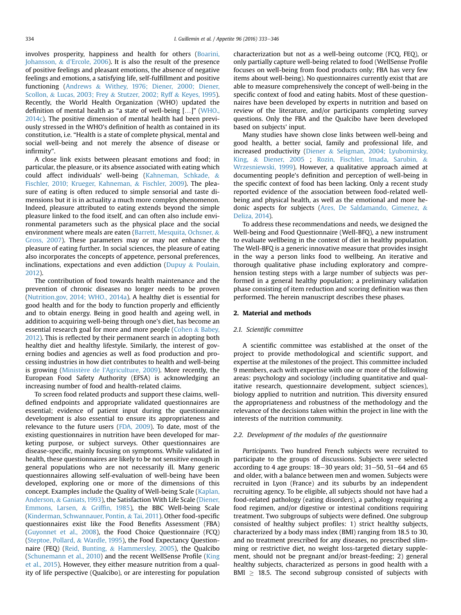involves prosperity, happiness and health for others (Boarini, Johansson, & d'Ercole, 2006). It is also the result of the presence of positive feelings and pleasant emotions, the absence of negative feelings and emotions, a satisfying life, self-fulfillment and positive functioning (Andrews & Withey, 1976; Diener, 2000; Diener, Scollon, & Lucas, 2003; Frey & Stutzer, 2002; Ryff & Keyes, 1995). Recently, the World Health Organization (WHO) updated the definition of mental health as "a state of well-being […]" (WHO., 2014c). The positive dimension of mental health had been previously stressed in the WHO's definition of health as contained in its constitution, i.e. "Health is a state of complete physical, mental and social well-being and not merely the absence of disease or infirmity".

A close link exists between pleasant emotions and food; in particular, the pleasure, or its absence associated with eating which could affect individuals' well-being (Kahneman, Schkade, & Fischler, 2010; Krueger, Kahneman, & Fischler, 2009). The pleasure of eating is often reduced to simple sensorial and taste dimensions but it is in actuality a much more complex phenomenon. Indeed, pleasure attributed to eating extends beyond the simple pleasure linked to the food itself, and can often also include environmental parameters such as the physical place and the social environment where meals are eaten (Barrett, Mesquita, Ochsner, & Gross, 2007). These parameters may or may not enhance the pleasure of eating further. In social sciences, the pleasure of eating also incorporates the concepts of appetence, personal preferences, inclinations, expectations and even addiction (Dupuy & Poulain, 2012).

The contribution of food towards health maintenance and the prevention of chronic diseases no longer needs to be proven (Nutrition.gov, 2014; WHO., 2014a). A healthy diet is essential for good health and for the body to function properly and efficiently and to obtain energy. Being in good health and ageing well, in addition to acquiring well-being through one's diet, has become an essential research goal for more and more people (Cohen & Babey, 2012). This is reflected by their permanent search in adopting both healthy diet and healthy lifestyle. Similarly, the interest of governing bodies and agencies as well as food production and processing industries in how diet contributes to health and well-being is growing (Ministère de l'Agriculture, 2009). More recently, the European Food Safety Authority (EFSA) is acknowledging an increasing number of food and health-related claims.

To screen food related products and support these claims, welldefined endpoints and appropriate validated questionnaires are essential; evidence of patient input during the questionnaire development is also essential to ensure its appropriateness and relevance to the future users (FDA, 2009). To date, most of the existing questionnaires in nutrition have been developed for marketing purpose, or subject surveys. Other questionnaires are disease-specific, mainly focusing on symptoms. While validated in health, these questionnaires are likely to be not sensitive enough in general populations who are not necessarily ill. Many generic questionnaires allowing self-evaluation of well-being have been developed, exploring one or more of the dimensions of this concept. Examples include the Quality of Well-being Scale (Kaplan, Anderson, & Ganiats, 1993), the Satisfaction With Life Scale (Diener, Emmons, Larsen, & Griffin, 1985), the BBC Well-being Scale (Kinderman, Schwannauer, Pontin, & Tai, 2011). Other food-specific questionnaires exist like the Food Benefits Assessment (FBA) (Guyonnet et al., 2008), the Food Choice Questionnaire (FCQ) (Steptoe, Pollard, & Wardle, 1995), the Food Expectancy Questionnaire (FEQ) (Reid, Bunting, & Hammersley, 2005), the Qualcibo (Schunemann et al., 2010) and the recent WellSense Profile (King et al., 2015). However, they either measure nutrition from a quality of life perspective (Qualcibo), or are interesting for population characterization but not as a well-being outcome (FCQ, FEQ), or only partially capture well-being related to food (WellSense Profile focuses on well-being from food products only; FBA has very few items about well-being). No questionnaires currently exist that are able to measure comprehensively the concept of well-being in the specific context of food and eating habits. Most of these questionnaires have been developed by experts in nutrition and based on review of the literature, and/or participants completing survey questions. Only the FBA and the Qualcibo have been developed based on subjects' input.

Many studies have shown close links between well-being and good health, a better social, family and professional life, and increased productivity (Diener & Seligman, 2004; Lyubomirsky, King, & Diener, 2005 ; Rozin, Fischler, Imada, Sarubin, & Wrzesniewski, 1999). However, a qualitative approach aimed at documenting people's definition and perception of well-being in the specific context of food has been lacking. Only a recent study reported evidence of the association between food-related wellbeing and physical health, as well as the emotional and more hedonic aspects for subjects (Ares, De Saldamando, Gimenez, & Deliza, 2014).

To address these recommendations and needs, we designed the Well-being and Food Questionnaire (Well-BFQ), a new instrument to evaluate wellbeing in the context of diet in healthy population. The Well-BFQ is a generic innovative measure that provides insight in the way a person links food to wellbeing. An iterative and thorough qualitative phase including exploratory and comprehension testing steps with a large number of subjects was performed in a general healthy population; a preliminary validation phase consisting of item reduction and scoring definition was then performed. The herein manuscript describes these phases.

### 2. Material and methods

#### 2.1. Scientific committee

A scientific committee was established at the onset of the project to provide methodological and scientific support, and expertise at the milestones of the project. This committee included 9 members, each with expertise with one or more of the following areas: psychology and sociology (including quantitative and qualitative research, questionnaire development, subject sciences), biology applied to nutrition and nutrition. This diversity ensured the appropriateness and robustness of the methodology and the relevance of the decisions taken within the project in line with the interests of the nutrition community.

### 2.2. Development of the modules of the questionnaire

Participants. Two hundred French subjects were recruited to participate to the groups of discussions. Subjects were selected according to 4 age groups:  $18-30$  years old;  $31-50$ ,  $51-64$  and  $65$ and older, with a balance between men and women. Subjects were recruited in Lyon (France) and its suburbs by an independent recruiting agency. To be eligible, all subjects should not have had a food-related pathology (eating disorders), a pathology requiring a food regimen, and/or digestive or intestinal conditions requiring treatment. Two subgroups of subjects were defined. One subgroup consisted of healthy subject profiles: 1) strict healthy subjects, characterized by a body mass index (BMI) ranging from 18.5 to 30, and no treatment prescribed for any diseases, no prescribed slimming or restrictive diet, no weight loss-targeted dietary supplement, should not be pregnant and/or breast-feeding; 2) general healthy subjects, characterized as persons in good health with a BMI  $\geq$  18.5. The second subgroup consisted of subjects with